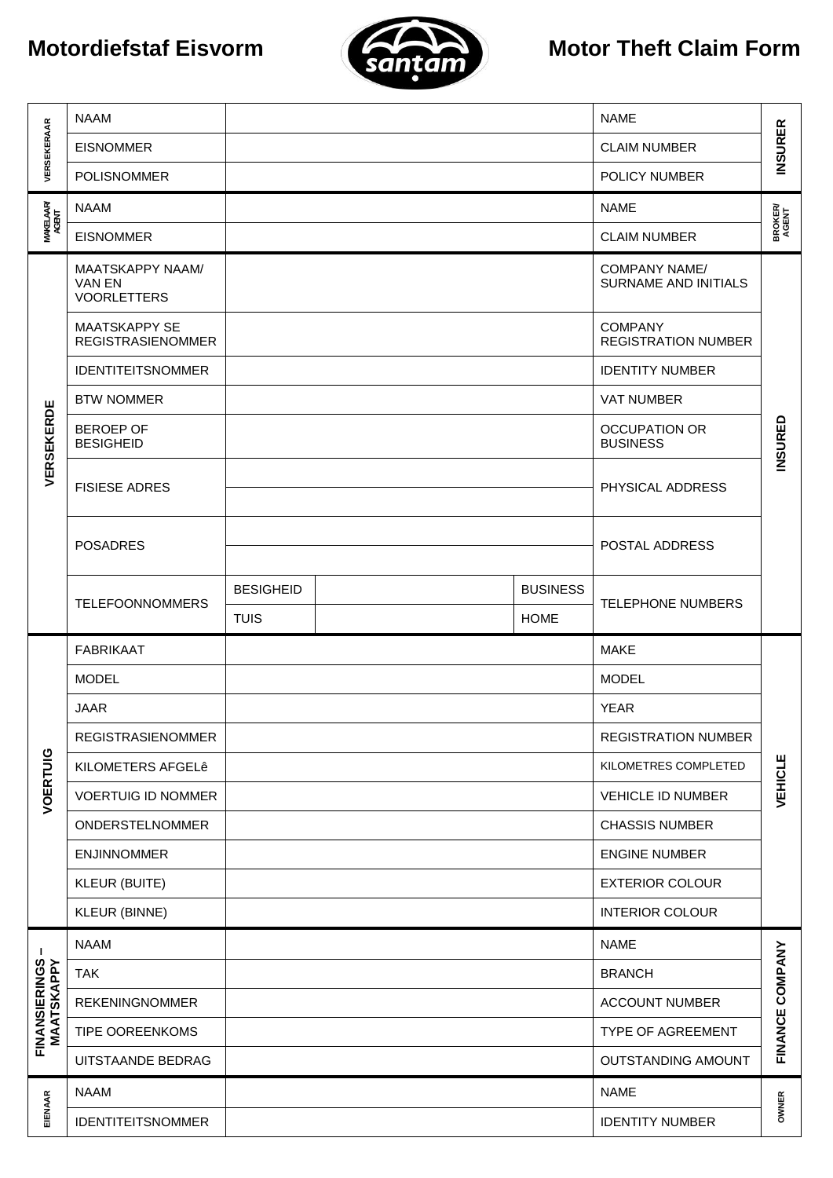## **Motordiefstaf Eisvorm**



## **Motor Theft Claim Form**

| VERSEKERAAR                 | <b>NAAM</b>                                             |                  |  |                 | <b>NAME</b>                                         |                         |  |  |
|-----------------------------|---------------------------------------------------------|------------------|--|-----------------|-----------------------------------------------------|-------------------------|--|--|
|                             | <b>EISNOMMER</b>                                        |                  |  |                 | <b>CLAIM NUMBER</b>                                 | <b>INSURER</b>          |  |  |
|                             | <b>POLISNOMMER</b>                                      |                  |  |                 | POLICY NUMBER                                       |                         |  |  |
|                             | <b>NAAM</b>                                             |                  |  |                 | <b>NAME</b>                                         | <b>BROKER/</b><br>AGENT |  |  |
| <b>MAKELAARY</b><br>AGENT   | <b>EISNOMMER</b>                                        |                  |  |                 | <b>CLAIM NUMBER</b>                                 |                         |  |  |
|                             | MAATSKAPPY NAAM/<br><b>VAN EN</b><br><b>VOORLETTERS</b> |                  |  |                 | <b>COMPANY NAME/</b><br><b>SURNAME AND INITIALS</b> |                         |  |  |
|                             | <b>MAATSKAPPY SE</b><br><b>REGISTRASIENOMMER</b>        |                  |  |                 | <b>COMPANY</b><br><b>REGISTRATION NUMBER</b>        |                         |  |  |
|                             | <b>IDENTITEITSNOMMER</b>                                |                  |  |                 | <b>IDENTITY NUMBER</b>                              |                         |  |  |
|                             | <b>BTW NOMMER</b>                                       |                  |  |                 | <b>VAT NUMBER</b>                                   |                         |  |  |
| VERSEKERDE                  | <b>BEROEP OF</b><br><b>BESIGHEID</b>                    |                  |  |                 | <b>OCCUPATION OR</b><br><b>BUSINESS</b>             | <b>INSURED</b>          |  |  |
|                             | <b>FISIESE ADRES</b>                                    |                  |  |                 | PHYSICAL ADDRESS                                    |                         |  |  |
|                             | <b>POSADRES</b>                                         |                  |  |                 | POSTAL ADDRESS                                      |                         |  |  |
|                             | <b>TELEFOONNOMMERS</b>                                  | <b>BESIGHEID</b> |  | <b>BUSINESS</b> |                                                     |                         |  |  |
|                             |                                                         | <b>TUIS</b>      |  | <b>HOME</b>     | <b>TELEPHONE NUMBERS</b>                            |                         |  |  |
|                             |                                                         |                  |  |                 |                                                     |                         |  |  |
|                             | <b>FABRIKAAT</b>                                        |                  |  |                 | <b>MAKE</b>                                         |                         |  |  |
|                             | <b>MODEL</b>                                            |                  |  |                 | <b>MODEL</b>                                        |                         |  |  |
|                             | <b>JAAR</b>                                             |                  |  |                 | <b>YEAR</b>                                         |                         |  |  |
|                             | <b>REGISTRASIENOMMER</b>                                |                  |  |                 | <b>REGISTRATION NUMBER</b>                          |                         |  |  |
|                             | KILOMETERS AFGELê                                       |                  |  |                 | KILOMETRES COMPLETED                                |                         |  |  |
|                             | <b>VOERTUIG ID NOMMER</b>                               |                  |  |                 | VEHICLE ID NUMBER                                   | <b>VEHICLE</b>          |  |  |
| VOERTUIG                    | ONDERSTELNOMMER                                         |                  |  |                 | <b>CHASSIS NUMBER</b>                               |                         |  |  |
|                             | <b>ENJINNOMMER</b>                                      |                  |  |                 | <b>ENGINE NUMBER</b>                                |                         |  |  |
|                             | <b>KLEUR (BUITE)</b>                                    |                  |  |                 | <b>EXTERIOR COLOUR</b>                              |                         |  |  |
|                             | <b>KLEUR (BINNE)</b>                                    |                  |  |                 | <b>INTERIOR COLOUR</b>                              |                         |  |  |
| J.                          | <b>NAAM</b>                                             |                  |  |                 | <b>NAME</b>                                         |                         |  |  |
|                             | <b>TAK</b>                                              |                  |  |                 | <b>BRANCH</b>                                       |                         |  |  |
|                             | <b>REKENINGNOMMER</b>                                   |                  |  |                 | <b>ACCOUNT NUMBER</b>                               |                         |  |  |
|                             | TIPE OOREENKOMS                                         |                  |  |                 | TYPE OF AGREEMENT                                   |                         |  |  |
| FINANSIERINGS<br>MAATSKAPPY | UITSTAANDE BEDRAG                                       |                  |  |                 | OUTSTANDING AMOUNT                                  | FINANCE COMPANY         |  |  |
| EIENAAR                     | <b>NAAM</b>                                             |                  |  |                 | <b>NAME</b>                                         | OWNER                   |  |  |